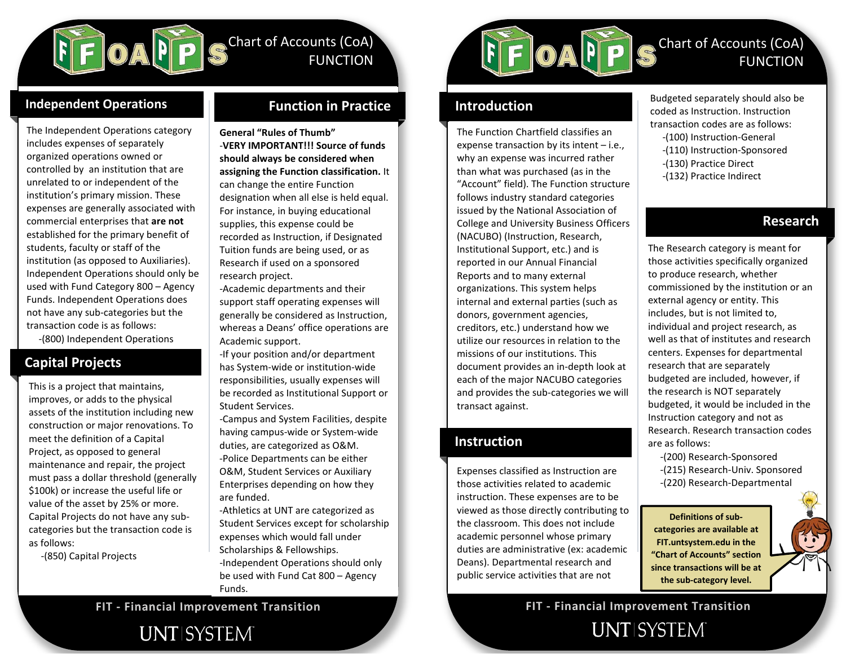

# Chart of Accounts (CoA) FUNCTION

### **Independent Operations**

The Independent Operations category includes expenses of separately organized operations owned or controlled by an institution that are unrelated to or independent of the institution's primary mission. These expenses are generally associated with commercial enterprises that **are not** established for the primary benefit of students, faculty or staff of the institution (as opposed to Auxiliaries). Independent Operations should only be used with Fund Category 800 – Agency Funds. Independent Operations does not have any sub-categories but the transaction code is as follows: -(800) Independent Operations

### **Capital Projects**

This is a project that maintains, improves, or adds to the physical assets of the institution including new construction or major renovations. To meet the definition of a Capital Project, as opposed to general maintenance and repair, the project must pass a dollar threshold (generally \$100k) or increase the useful life or value of the asset by 25% or more. Capital Projects do not have any subcategories but the transaction code is as follows:

-(850) Capital Projects

### **Function in Practice**

**General "Rules of Thumb"** -**VERY IMPORTANT!!! Source of funds should always be considered when assigning the Function classification.** It can change the entire Function designation when all else is held equal. For instance, in buying educational supplies, this expense could be recorded as Instruction, if Designated Tuition funds are being used, or as Research if used on a sponsored research project.

whereas a Deans' office operations are -Academic departments and their support staff operating expenses will generally be considered as Instruction, Academic support.

-If your position and/or department has System-wide or institution-wide responsibilities, usually expenses will be recorded as Institutional Support or Student Services.

-Campus and System Facilities, despite having campus-wide or System-wide duties, are categorized as O&M. -Police Departments can be either O&M, Student Services or Auxiliary Enterprises depending on how they are funded.

-Athletics at UNT are categorized as Student Services except for scholarship expenses which would fall under Scholarships & Fellowships. -Independent Operations should only be used with Fund Cat 800 – Agency Funds.



### **Introduction**

The Function Chartfield classifies an expense transaction by its intent – i.e., why an expense was incurred rather than what was purchased (as in the "Account" field). The Function structure follows industry standard categories issued by the National Association of College and University Business Officers (NACUBO) (Instruction, Research, Institutional Support, etc.) and is reported in our Annual Financial Reports and to many external organizations. This system helps internal and external parties (such as donors, government agencies, creditors, etc.) understand how we utilize our resources in relation to the missions of our institutions. This document provides an in-depth look at each of the major NACUBO categories and provides the sub-categories we will transact against.

### **Instruction**

Academic Support includes any Expenses classified as Instruction are those activities related to academic instruction. These expenses are to be viewed as those directly contributing to the classroom. This does not include academic personnel whose primary duties are administrative (ex: academic Deans). Departmental research and public service activities that are not

Budgeted separately should also be coded as Instruction. Instruction transaction codes are as follows:

Chart of Accounts (CoA)

FUNCTION

- -(100) Instruction-General
- -(110) Instruction-Sponsored
- -(130) Practice Direct
- -(132) Practice Indirect

### **Research**

The Research category is meant for those activities specifically organized to produce research, whether commissioned by the institution or an external agency or entity. This includes, but is not limited to, individual and project research, as well as that of institutes and research centers. Expenses for departmental research that are separately budgeted are included, however, if the research is NOT separately budgeted, it would be included in the Instruction category and not as Research. Research transaction codes are as follows:

 -(200) Research-Sponsored -(215) Research-Univ. Sponsored -(220) Research-Departmental

**Definitions of subcategories are available at FIT.untsystem.edu in the "Chart of Accounts" section since transactions will be at the sub-category level.**

**UNTISYSTEM** 

**FIT - Financial Improvement Transition FIT - Financial Improvement Transition**

 $\overline{\phantom{a}}$ 

# **UNTISYSTEM**